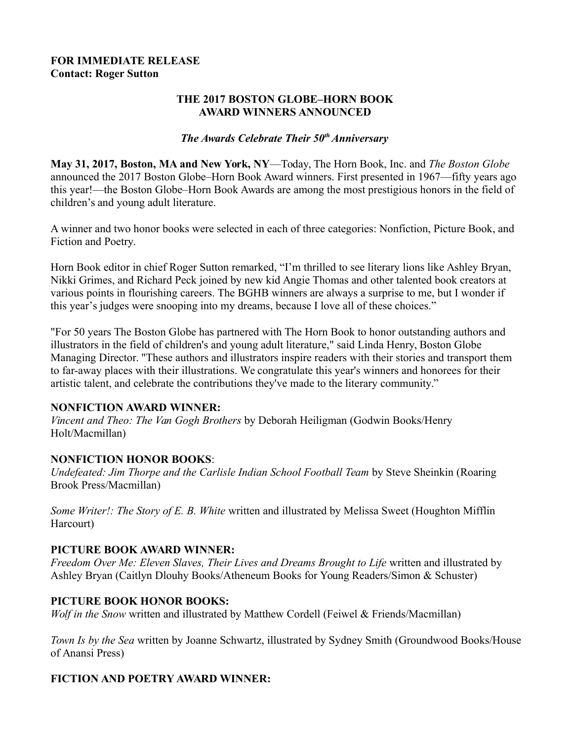#### **FOR IMMEDIATE RELEASE Contact: Roger Sutton**

#### **THE 2017 BOSTON GLOBE–HORN BOOK AWARD WINNERS ANNOUNCED**

#### *The Awards Celebrate Their 50th Anniversary*

**May 31, 2017, Boston, MA and New York, NY**—Today, The Horn Book, Inc. and *The Boston Globe* announced the 2017 Boston Globe–Horn Book Award winners. First presented in 1967—fifty years ago this year!—the Boston Globe–Horn Book Awards are among the most prestigious honors in the field of children's and young adult literature.

A winner and two honor books were selected in each of three categories: Nonfiction, Picture Book, and Fiction and Poetry.

Horn Book editor in chief Roger Sutton remarked, "I'm thrilled to see literary lions like Ashley Bryan, Nikki Grimes, and Richard Peck joined by new kid Angie Thomas and other talented book creators at various points in flourishing careers. The BGHB winners are always a surprise to me, but I wonder if this year's judges were snooping into my dreams, because I love all of these choices."

"For 50 years The Boston Globe has partnered with The Horn Book to honor outstanding authors and illustrators in the field of children's and young adult literature," said Linda Henry, Boston Globe Managing Director. "These authors and illustrators inspire readers with their stories and transport them to far-away places with their illustrations. We congratulate this year's winners and honorees for their artistic talent, and celebrate the contributions they've made to the literary community."

#### **NONFICTION AWARD WINNER:**

*Vincent and Theo: The Van Gogh Brothers* by Deborah Heiligman (Godwin Books/Henry Holt/Macmillan)

## **NONFICTION HONOR BOOKS**:

*Undefeated: Jim Thorpe and the Carlisle Indian School Football Team* by Steve Sheinkin (Roaring Brook Press/Macmillan)

*Some Writer!: The Story of E. B. White* written and illustrated by Melissa Sweet (Houghton Mifflin Harcourt)

## **PICTURE BOOK AWARD WINNER:**

*Freedom Over Me: Eleven Slaves, Their Lives and Dreams Brought to Life written and illustrated by* Ashley Bryan (Caitlyn Dlouhy Books/Atheneum Books for Young Readers/Simon & Schuster)

## **PICTURE BOOK HONOR BOOKS:**

*Wolf in the Snow* written and illustrated by Matthew Cordell (Feiwel & Friends/Macmillan)

*Town Is by the Sea* written by Joanne Schwartz, illustrated by Sydney Smith (Groundwood Books/House of Anansi Press)

## **FICTION AND POETRY AWARD WINNER:**